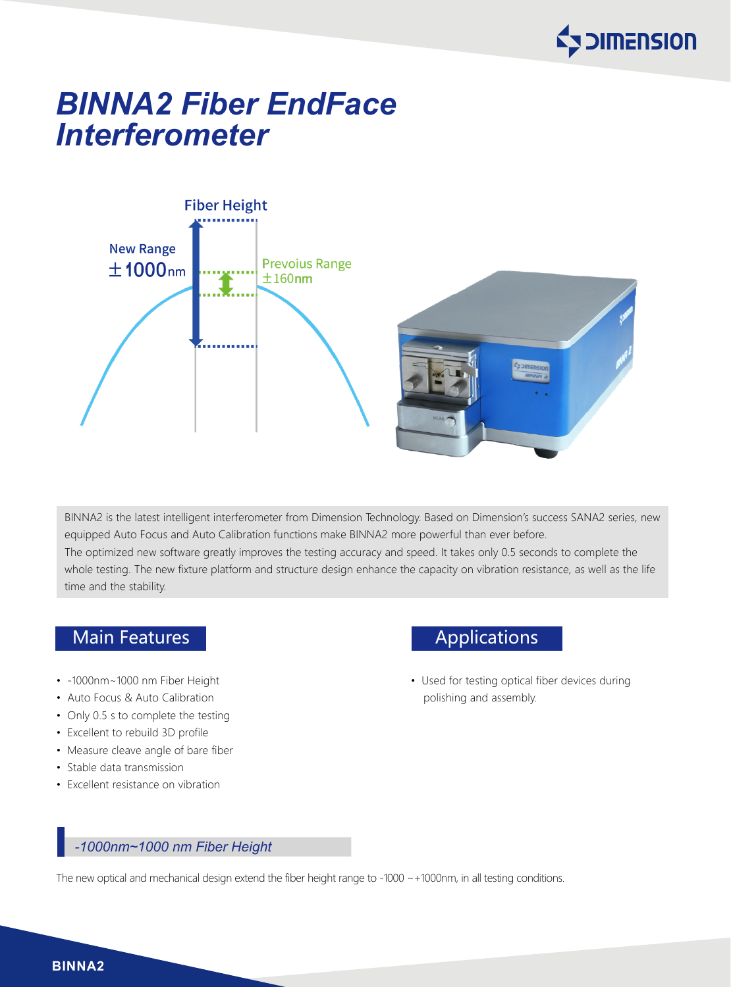

# *BINNA2 Fiber EndFace Interferometer*



BINNA2 is the latest intelligent interferometer from Dimension Technology. Based on Dimension's success SANA2 series, new equipped Auto Focus and Auto Calibration functions make BINNA2 more powerful than ever before. The optimized new software greatly improves the testing accuracy and speed. It takes only 0.5 seconds to complete the whole testing. The new fixture platform and structure design enhance the capacity on vibration resistance, as well as the life time and the stability.

# Main Features **Applications**

- -1000nm~1000 nm Fiber Height
- Auto Focus & Auto Calibration
- Only 0.5 s to complete the testing
- Excellent to rebuild 3D profile
- Measure cleave angle of bare fiber
- Stable data transmission
- Excellent resistance on vibration

• Used for testing optical fiber devices during polishing and assembly.

# *-1000nm~1000 nm Fiber Height*

The new optical and mechanical design extend the fiber height range to -1000 ~+1000nm, in all testing conditions.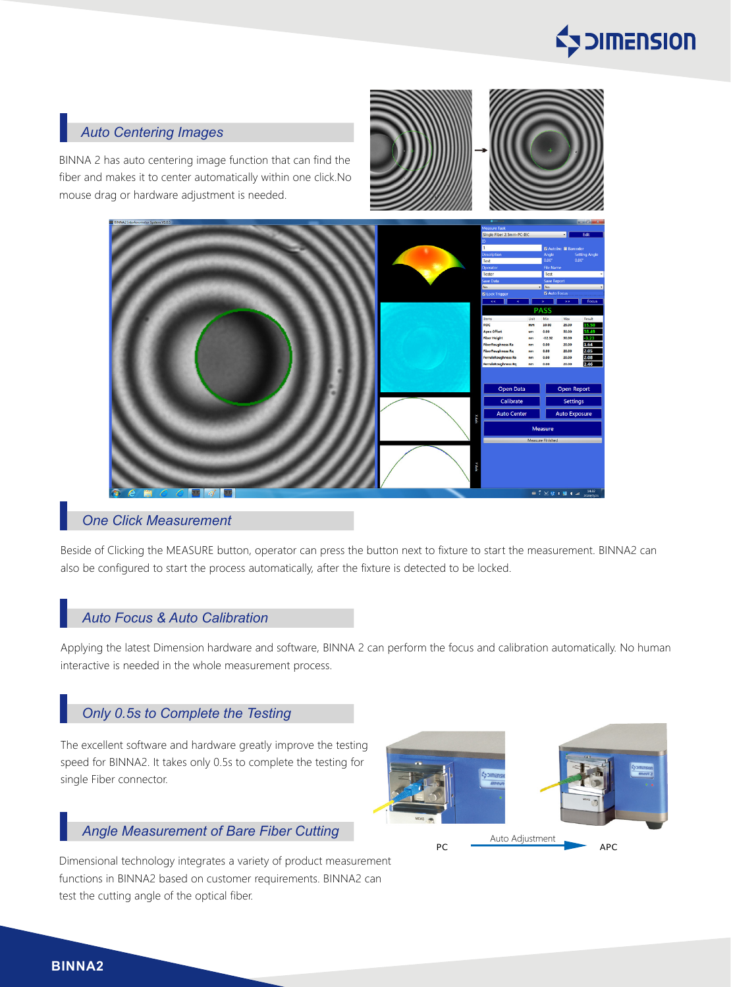

### *Auto Centering Images*

BINNA 2 has auto centering image function that can find the fiber and makes it to center automatically within one click.No mouse drag or hardware adjustment is needed.



## *One Click Measurement*

Beside of Clicking the MEASURE button, operator can press the button next to fixture to start the measurement. BINNA2 can also be configured to start the process automatically, after the fixture is detected to be locked.

#### *Auto Focus & Auto Calibration*

Applying the latest Dimension hardware and software, BINNA 2 can perform the focus and calibration automatically. No human interactive is needed in the whole measurement process.

# *Only 0.5s to Complete the Testing*

The excellent software and hardware greatly improve the testing speed for BINNA2. It takes only 0.5s to complete the testing for single Fiber connector.

#### *Angle Measurement of Bare Fiber Cutting*

Dimensional technology integrates a variety of product measurement functions in BINNA2 based on customer requirements. BINNA2 can test the cutting angle of the optical fiber.



#### **BINNA2**